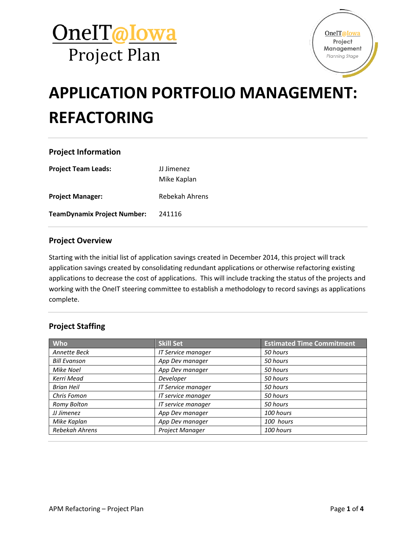



## **APPLICATION PORTFOLIO MANAGEMENT: REFACTORING**

### **Project Information**

| <b>Project Team Leads:</b>  | JJ Jimenez<br>Mike Kaplan |
|-----------------------------|---------------------------|
| <b>Project Manager:</b>     | Rebekah Ahrens            |
| TeamDynamix Project Number: | 241116                    |

#### **Project Overview**

Starting with the initial list of application savings created in December 2014, this project will track application savings created by consolidating redundant applications or otherwise refactoring existing applications to decrease the cost of applications. This will include tracking the status of the projects and working with the OneIT steering committee to establish a methodology to record savings as applications complete.

### **Project Staffing**

| Who                 | <b>Skill Set</b>   | <b>Estimated Time Commitment</b> |
|---------------------|--------------------|----------------------------------|
| Annette Beck        | IT Service manager | 50 hours                         |
| <b>Bill Evanson</b> | App Dev manager    | 50 hours                         |
| Mike Noel           | App Dev manager    | 50 hours                         |
| Kerri Mead          | Developer          | 50 hours                         |
| <b>Brian Heil</b>   | IT Service manager | 50 hours                         |
| Chris Fomon         | IT service manager | 50 hours                         |
| Romy Bolton         | IT service manager | 50 hours                         |
| JJ Jimenez          | App Dev manager    | 100 hours                        |
| Mike Kaplan         | App Dev manager    | 100 hours                        |
| Rebekah Ahrens      | Project Manager    | 100 hours                        |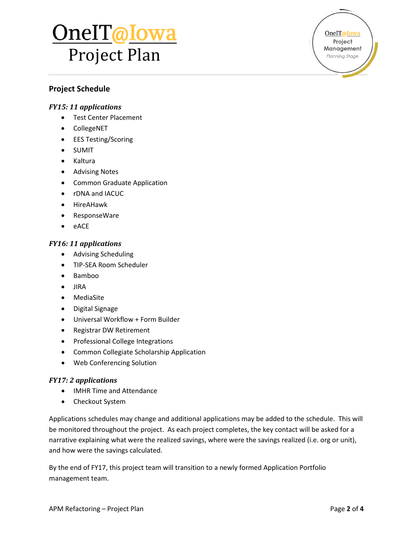# <u>OnelT@Iowa</u> Project Plan

OneIT@Iowa Project Management Planning Stage

### **Project Schedule**

### *FY15: 11 applications*

- Test Center Placement
- CollegeNET
- EES Testing/Scoring
- SUMIT
- Kaltura
- Advising Notes
- Common Graduate Application
- rDNA and IACUC
- HireAHawk
- ResponseWare
- eACE

#### *FY16: 11 applications*

- Advising Scheduling
- TIP-SEA Room Scheduler
- Bamboo
- JIRA
- MediaSite
- Digital Signage
- Universal Workflow + Form Builder
- Registrar DW Retirement
- Professional College Integrations
- Common Collegiate Scholarship Application
- Web Conferencing Solution

#### *FY17: 2 applications*

- IMHR Time and Attendance
- Checkout System

Applications schedules may change and additional applications may be added to the schedule. This will be monitored throughout the project. As each project completes, the key contact will be asked for a narrative explaining what were the realized savings, where were the savings realized (i.e. org or unit), and how were the savings calculated.

By the end of FY17, this project team will transition to a newly formed Application Portfolio management team.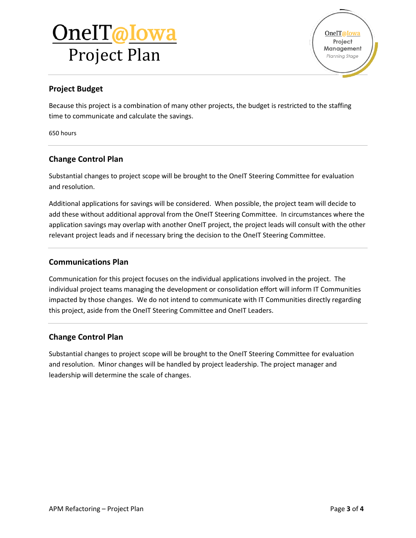# OneIT@Iowa Project Plan

## **Project Budget**

Because this project is a combination of many other projects, the budget is restricted to the staffing time to communicate and calculate the savings.

650 hours

## **Change Control Plan**

Substantial changes to project scope will be brought to the OneIT Steering Committee for evaluation and resolution.

Additional applications for savings will be considered. When possible, the project team will decide to add these without additional approval from the OneIT Steering Committee. In circumstances where the application savings may overlap with another OneIT project, the project leads will consult with the other relevant project leads and if necessary bring the decision to the OneIT Steering Committee.

### **Communications Plan**

Communication for this project focuses on the individual applications involved in the project. The individual project teams managing the development or consolidation effort will inform IT Communities impacted by those changes. We do not intend to communicate with IT Communities directly regarding this project, aside from the OneIT Steering Committee and OneIT Leaders.

### **Change Control Plan**

Substantial changes to project scope will be brought to the OneIT Steering Committee for evaluation and resolution. Minor changes will be handled by project leadership. The project manager and leadership will determine the scale of changes.